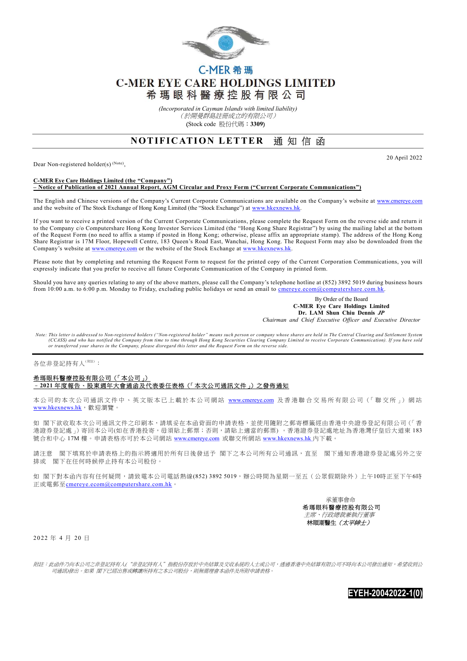

## C-MER 希瑪 **C-MER EYE CARE HOLDINGS LIMITED** 希瑪眼科醫療控股有限公司

(Incorporated in Cayman Islands with limited liability) (於開曼群島註冊成立的有限公司) (Stock code 股份代碼:3309)

## NOTIFICATION LETTER 通知信函

Dear Non-registered holder(s)<sup>(Note)</sup>,

20 April 2022

## C-MER Eye Care Holdings Limited (the "Company") – Notice of Publication of 2021 Annual Report, AGM Circular and Proxy Form ("Current Corporate Communications")

The English and Chinese versions of the Company's Current Corporate Communications are available on the Company's website at www.cmereye.com and the website of The Stock Exchange of Hong Kong Limited (the "Stock Exchange") at www.hkexnews.hk.

If you want to receive a printed version of the Current Corporate Communications, please complete the Request Form on the reverse side and return it to the Company c/o Computershare Hong Kong Investor Services Limited (the "Hong Kong Share Registrar") by using the mailing label at the bottom of the Request Form (no need to affix a stamp if posted in Hong Kong; otherwise, please affix an appropriate stamp). The address of the Hong Kong Share Registrar is 17M Floor, Hopewell Centre, 183 Queen's Road East, Wanchai, Hong Kong. The Request Form may also be downloaded from the Company's website at www.cmereye.com or the website of the Stock Exchange at www.hkexnews.hk.

Please note that by completing and returning the Request Form to request for the printed copy of the Current Corporation Communications, you will expressly indicate that you prefer to receive all future Corporate Communication of the Company in printed form.

Should you have any queries relating to any of the above matters, please call the Company's telephone hotline at (852) 3892 5019 during business hours from 10:00 a.m. to 6:00 p.m. Monday to Friday, excluding public holidays or send an email to cmereye.ecom@computershare.com.hk.

> By Order of the Board C-MER Eye Care Holdings Limited Dr. LAM Shun Chiu Dennis JP Chairman and Chief Executive Officer and Executive Director

Note: This letter is addressed to Non-registered holders ("Non-registered holder" means such person or company whose shares are held in The Central Clearing and Settlement System (CCASS) and who has notified the Company from time to time through Hong Kong Securities Clearing Company Limited to receive Corporate Communication). If you have sold<br>or transferred your shares in the Company, please disre

各位非登記持有人(附注):

## 希瑪眼科醫療控股有限公司(「本公司」) –2021 年度報告、股東週年大會通函及代表委任表格(「本次公司通訊文件」)之發佈通知

本公司的本次公司通訊文件中、英文版本已上載於本公司網站 www.cmereye.com 及香港聯合交易所有限公司(「聯交所」) 網站 www.hkexnews.hk, 歡迎瀏覽。

如 閣下欲收取本次公司通訊文件之印刷本,請填妥在本函背面的申請表格,並使用隨附之郵寄標籤經由香港中央證券登記有限公司(「香 港證券登記處」)寄回本公司(如在香港投寄,毋須貼上郵票;否則,請貼上適當的郵票)。香港證券登記處地址為香港灣仔皇后大道東183 號合和中心 17M 樓。申請表格亦可於本公司網站 www.cmereye.com 或聯交所網站 www.hkexnews.hk 內下載。

請注意 閣下填寫於申請表格上的指示將適用於所有日後發送予 閣下之本公司所有公司通訊,直至 閣下通知香港證券登記處另外之安 排或 閣下在任何時候停止持有本公司股份。

如 閣下對本函內容有任何疑問,請致電本公司電話熱線(852) 3892 5019,辦公時間為星期一至五(公眾假期除外)上午10時正至下午6時 正或電郵至cmereye.ecom@computershare.com.hk。



2 0 22 年 4 月 20 日

附註:此函件乃向本公司之非登記持有人("非登記持有人"指股份存放於中央結算及交收系統的人士或公司,透過香港中央結算有限公司不時向本公司發出通知,希望收到公 司通訊)發出。如果 閣下已經出售或轉讓所持有之本公司股份,則無需理會本函件及所附申請表格。